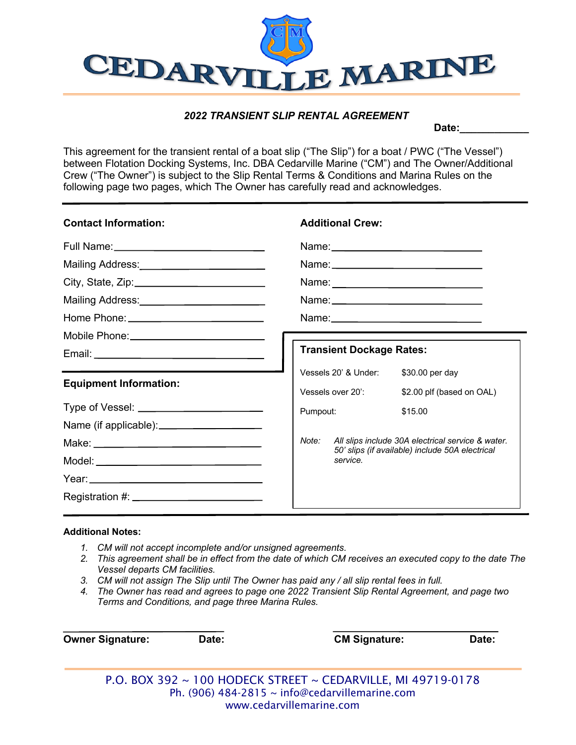

## *2022 TRANSIENT SLIP RENTAL AGREEMENT*

Date:

This agreement for the transient rental of a boat slip ("The Slip") for a boat / PWC ("The Vessel") between Flotation Docking Systems, Inc. DBA Cedarville Marine ("CM") and The Owner/Additional Crew ("The Owner") is subject to the Slip Rental Terms & Conditions and Marina Rules on the following page two pages, which The Owner has carefully read and acknowledges.

| <b>Contact Information:</b>                    | <b>Additional Crew:</b>                                                                                                                                                        |  |  |
|------------------------------------------------|--------------------------------------------------------------------------------------------------------------------------------------------------------------------------------|--|--|
|                                                |                                                                                                                                                                                |  |  |
| Mailing Address: __________________________    |                                                                                                                                                                                |  |  |
|                                                |                                                                                                                                                                                |  |  |
| Mailing Address: _________________________     |                                                                                                                                                                                |  |  |
|                                                |                                                                                                                                                                                |  |  |
| Mobile Phone: ________________________________ |                                                                                                                                                                                |  |  |
|                                                | <b>Transient Dockage Rates:</b>                                                                                                                                                |  |  |
| <b>Equipment Information:</b>                  | Vessels 20' & Under:<br>\$30.00 per day<br>Vessels over 20':<br>\$2.00 plf (based on OAL)<br>Pumpout:<br>\$15.00<br>All slips include 30A electrical service & water.<br>Note: |  |  |
|                                                | 50' slips (if available) include 50A electrical<br>service.                                                                                                                    |  |  |
| Registration #: ______________________________ |                                                                                                                                                                                |  |  |

## **Additional Notes:**

- *1. CM will not accept incomplete and/or unsigned agreements.*
- *2. This agreement shall be in effect from the date of which CM receives an executed copy to the date The Vessel departs CM facilities.*
- *3. CM will not assign The Slip until The Owner has paid any / all slip rental fees in full.*
- *4. The Owner has read and agrees to page one 2022 Transient Slip Rental Agreement, and page two Terms and Conditions, and page three Marina Rules.*

| <b>Owner Signature:</b> | Date: | <b>CM Signature:</b>                                         | Date: |
|-------------------------|-------|--------------------------------------------------------------|-------|
|                         |       |                                                              |       |
|                         |       | P.O. BOX 392 ~ 100 HODECK STREET ~ CEDARVILLE. MI 49719-0178 |       |

P.O. BOX 392 ~ 100 HODECK STREET ~ CEDARVILLE, MI 49719-0178 Ph. (906) 484-2815  $\sim$  info@cedarvillemarine.com www.cedarvillemarine.com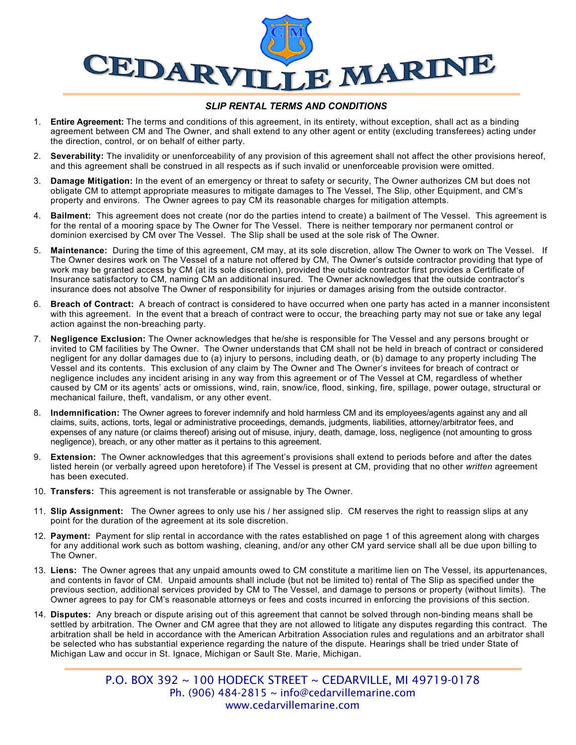

## *SLIP RENTAL TERMS AND CONDITIONS*

- 1. **Entire Agreement:** The terms and conditions of this agreement, in its entirety, without exception, shall act as a binding agreement between CM and The Owner, and shall extend to any other agent or entity (excluding transferees) acting under the direction, control, or on behalf of either party.
- 2. **Severability:** The invalidity or unenforceability of any provision of this agreement shall not affect the other provisions hereof, and this agreement shall be construed in all respects as if such invalid or unenforceable provision were omitted.
- 3. **Damage Mitigation:** In the event of an emergency or threat to safety or security, The Owner authorizes CM but does not obligate CM to attempt appropriate measures to mitigate damages to The Vessel, The Slip, other Equipment, and CM's property and environs. The Owner agrees to pay CM its reasonable charges for mitigation attempts.
- 4. **Bailment:** This agreement does not create (nor do the parties intend to create) a bailment of The Vessel. This agreement is for the rental of a mooring space by The Owner for The Vessel. There is neither temporary nor permanent control or dominion exercised by CM over The Vessel. The Slip shall be used at the sole risk of The Owner.
- 5. **Maintenance:** During the time of this agreement, CM may, at its sole discretion, allow The Owner to work on The Vessel. If The Owner desires work on The Vessel of a nature not offered by CM, The Owner's outside contractor providing that type of work may be granted access by CM (at its sole discretion), provided the outside contractor first provides a Certificate of Insurance satisfactory to CM, naming CM an additional insured. The Owner acknowledges that the outside contractor's insurance does not absolve The Owner of responsibility for injuries or damages arising from the outside contractor.
- 6. **Breach of Contract:** A breach of contract is considered to have occurred when one party has acted in a manner inconsistent with this agreement. In the event that a breach of contract were to occur, the breaching party may not sue or take any legal action against the non-breaching party.
- 7. **Negligence Exclusion:** The Owner acknowledges that he/she is responsible for The Vessel and any persons brought or invited to CM facilities by The Owner. The Owner understands that CM shall not be held in breach of contract or considered negligent for any dollar damages due to (a) injury to persons, including death, or (b) damage to any property including The Vessel and its contents. This exclusion of any claim by The Owner and The Owner's invitees for breach of contract or negligence includes any incident arising in any way from this agreement or of The Vessel at CM, regardless of whether caused by CM or its agents' acts or omissions, wind, rain, snow/ice, flood, sinking, fire, spillage, power outage, structural or mechanical failure, theft, vandalism, or any other event.
- 8. **Indemnification:** The Owner agrees to forever indemnify and hold harmless CM and its employees/agents against any and all claims, suits, actions, torts, legal or administrative proceedings, demands, judgments, liabilities, attorney/arbitrator fees, and expenses of any nature (or claims thereof) arising out of misuse, injury, death, damage, loss, negligence (not amounting to gross negligence), breach, or any other matter as it pertains to this agreement.
- 9. **Extension:** The Owner acknowledges that this agreement's provisions shall extend to periods before and after the dates listed herein (or verbally agreed upon heretofore) if The Vessel is present at CM, providing that no other *written* agreement has been executed.
- 10. **Transfers:** This agreement is not transferable or assignable by The Owner.
- 11. **Slip Assignment:** The Owner agrees to only use his / her assigned slip. CM reserves the right to reassign slips at any point for the duration of the agreement at its sole discretion.
- 12. **Payment:** Payment for slip rental in accordance with the rates established on page 1 of this agreement along with charges for any additional work such as bottom washing, cleaning, and/or any other CM yard service shall all be due upon billing to The Owner.
- 13. **Liens:** The Owner agrees that any unpaid amounts owed to CM constitute a maritime lien on The Vessel, its appurtenances, and contents in favor of CM. Unpaid amounts shall include (but not be limited to) rental of The Slip as specified under the previous section, additional services provided by CM to The Vessel, and damage to persons or property (without limits). The Owner agrees to pay for CM's reasonable attorneys or fees and costs incurred in enforcing the provisions of this section.
- 14. **Disputes:** Any breach or dispute arising out of this agreement that cannot be solved through non-binding means shall be settled by arbitration. The Owner and CM agree that they are not allowed to litigate any disputes regarding this contract. The arbitration shall be held in accordance with the American Arbitration Association rules and regulations and an arbitrator shall be selected who has substantial experience regarding the nature of the dispute. Hearings shall be tried under State of Michigan Law and occur in St. Ignace, Michigan or Sault Ste. Marie, Michigan.

P.O. BOX 392 ~ 100 HODECK STREET ~ CEDARVILLE, MI 49719-0178 Ph. (906) 484-2815 ~ info@cedarvillemarine.com www.cedarvillemarine.com